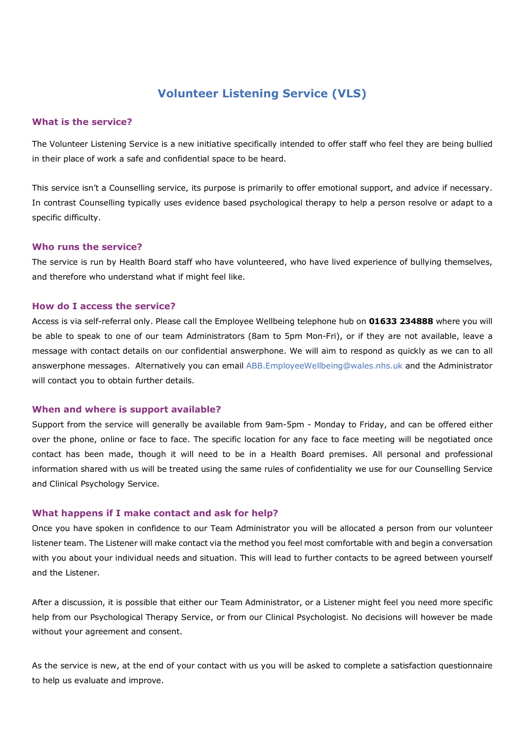# **Volunteer Listening Service (VLS)**

## **What is the service?**

The Volunteer Listening Service is a new initiative specifically intended to offer staff who feel they are being bullied in their place of work a safe and confidential space to be heard.

This service isn't a Counselling service, its purpose is primarily to offer emotional support, and advice if necessary. In contrast Counselling typically uses evidence based psychological therapy to help a person resolve or adapt to a specific difficulty.

#### **Who runs the service?**

The service is run by Health Board staff who have volunteered, who have lived experience of bullying themselves, and therefore who understand what if might feel like.

### **How do I access the service?**

Access is via self-referral only. Please call the Employee Wellbeing telephone hub on **01633 234888** where you will be able to speak to one of our team Administrators (8am to 5pm Mon-Fri), or if they are not available, leave a message with contact details on our confidential answerphone. We will aim to respond as quickly as we can to all answerphone messages. Alternatively you can email ABB.EmployeeWellbeing@wales.nhs.uk and the Administrator will contact you to obtain further details.

### **When and where is support available?**

Support from the service will generally be available from 9am-5pm - Monday to Friday, and can be offered either over the phone, online or face to face. The specific location for any face to face meeting will be negotiated once contact has been made, though it will need to be in a Health Board premises. All personal and professional information shared with us will be treated using the same rules of confidentiality we use for our Counselling Service and Clinical Psychology Service.

#### **What happens if I make contact and ask for help?**

Once you have spoken in confidence to our Team Administrator you will be allocated a person from our volunteer listener team. The Listener will make contact via the method you feel most comfortable with and begin a conversation with you about your individual needs and situation. This will lead to further contacts to be agreed between yourself and the Listener.

After a discussion, it is possible that either our Team Administrator, or a Listener might feel you need more specific help from our Psychological Therapy Service, or from our Clinical Psychologist. No decisions will however be made without your agreement and consent.

As the service is new, at the end of your contact with us you will be asked to complete a satisfaction questionnaire to help us evaluate and improve.